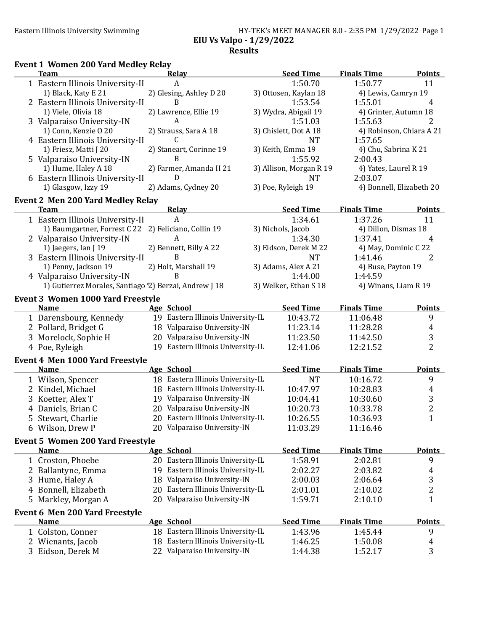#### Eastern Illinois University Swimming HY-TEK's MEET MANAGER 8.0 - 2:35 PM 1/29/2022 Page 1 EIU Vs Valpo - 1/29/2022 Results

#### Event 1 Women 200 Yard Medley Relay

| <b>Team</b>                                            |    | Relay                             | <b>Seed Time</b>        | <b>Finals Time</b>    | <b>Points</b>                  |
|--------------------------------------------------------|----|-----------------------------------|-------------------------|-----------------------|--------------------------------|
| 1 Eastern Illinois University-II                       |    | A                                 | 1:50.70                 | 1:50.77               | 11                             |
| 1) Black, Katy E 21                                    |    | 2) Glesing, Ashley D 20           | 3) Ottosen, Kaylan 18   | 4) Lewis, Camryn 19   |                                |
| 2 Eastern Illinois University-II                       |    | B                                 | 1:53.54                 | 1:55.01               | 4                              |
| 1) Viele, Olivia 18                                    |    | 2) Lawrence, Ellie 19             | 3) Wydra, Abigail 19    |                       | 4) Grinter, Autumn 18          |
| 3 Valparaiso University-IN                             |    | A                                 | 1:51.03                 | 1:55.63               | 2                              |
| 1) Conn, Kenzie O 20                                   |    | 2) Strauss, Sara A 18             | 3) Chislett, Dot A 18   |                       | 4) Robinson, Chiara A 21       |
| 4 Eastern Illinois University-II                       |    | C                                 | <b>NT</b>               | 1:57.65               |                                |
| 1) Friesz, Matti J 20                                  |    | 2) Staneart, Corinne 19           | 3) Keith, Emma 19       | 4) Chu, Sabrina K 21  |                                |
| 5 Valparaiso University-IN                             |    | B                                 | 1:55.92                 | 2:00.43               |                                |
| 1) Hume, Haley A 18                                    |    | 2) Farmer, Amanda H 21            | 3) Allison, Morgan R 19 | 4) Yates, Laurel R 19 |                                |
| 6 Eastern Illinois University-II                       |    | D                                 | <b>NT</b>               | 2:03.07               |                                |
| 1) Glasgow, Izzy 19                                    |    | 2) Adams, Cydney 20               | 3) Poe, Ryleigh 19      |                       | 4) Bonnell, Elizabeth 20       |
|                                                        |    |                                   |                         |                       |                                |
| <b>Event 2 Men 200 Yard Medley Relay</b>               |    |                                   |                         | <b>Finals Time</b>    |                                |
| <b>Team</b>                                            |    | <b>Relay</b>                      | <b>Seed Time</b>        |                       | <b>Points</b>                  |
| 1 Eastern Illinois University-II                       |    | A                                 | 1:34.61                 | 1:37.26               | 11                             |
| 1) Baumgartner, Forrest C 22                           |    | 2) Feliciano, Collin 19           | 3) Nichols, Jacob       | 4) Dillon, Dismas 18  |                                |
| 2 Valparaiso University-IN                             |    | A                                 | 1:34.30                 | 1:37.41               | 4                              |
| 1) Jaegers, Ian J 19                                   |    | 2) Bennett, Billy A 22            | 3) Eidson, Derek M 22   |                       | 4) May, Dominic C 22           |
| 3 Eastern Illinois University-II                       |    | B                                 | <b>NT</b>               | 1:41.46               | 2                              |
| 1) Penny, Jackson 19                                   |    | 2) Holt, Marshall 19              | 3) Adams, Alex A 21     | 4) Buse, Payton 19    |                                |
| 4 Valparaiso University-IN                             |    | B                                 | 1:44.00                 | 1:44.59               |                                |
| 1) Gutierrez Morales, Santiago '2) Berzai, Andrew J 18 |    |                                   | 3) Welker, Ethan S 18   |                       | 4) Winans, Liam R 19           |
| <b>Event 3 Women 1000 Yard Freestyle</b>               |    |                                   |                         |                       |                                |
| <b>Name</b>                                            |    | Age School                        | <b>Seed Time</b>        | <b>Finals Time</b>    | <b>Points</b>                  |
| 1 Darensbourg, Kennedy                                 |    | 19 Eastern Illinois University-IL | 10:43.72                | 11:06.48              | 9                              |
| 2 Pollard, Bridget G                                   |    | 18 Valparaiso University-IN       | 11:23.14                | 11:28.28              | $\overline{4}$                 |
| 3 Morelock, Sophie H                                   |    | 20 Valparaiso University-IN       | 11:23.50                | 11:42.50              | 3                              |
| 4 Poe, Ryleigh                                         |    | 19 Eastern Illinois University-IL | 12:41.06                | 12:21.52              | $\overline{2}$                 |
| <b>Event 4 Men 1000 Yard Freestyle</b>                 |    |                                   |                         |                       |                                |
| <b>Name</b>                                            |    | Age School                        | <b>Seed Time</b>        | <b>Finals Time</b>    | <b>Points</b>                  |
| 1 Wilson, Spencer                                      |    | 18 Eastern Illinois University-IL | <b>NT</b>               | 10:16.72              | 9                              |
| 2 Kindel, Michael                                      |    | 18 Eastern Illinois University-IL | 10:47.97                | 10:28.83              |                                |
| 3 Koetter, Alex T                                      |    | 19 Valparaiso University-IN       | 10:04.41                | 10:30.60              | $\overline{4}$                 |
|                                                        |    | 20 Valparaiso University-IN       |                         |                       | $\sqrt{3}$                     |
| 4 Daniels, Brian C                                     |    | 20 Eastern Illinois University-IL | 10:20.73                | 10:33.78              | $\overline{c}$<br>$\mathbf{1}$ |
| 5 Stewart, Charlie                                     |    |                                   | 10:26.55                | 10:36.93              |                                |
| 6 Wilson, Drew P                                       |    | 20 Valparaiso University-IN       | 11:03.29                | 11:16.46              |                                |
| <b>Event 5 Women 200 Yard Freestyle</b>                |    |                                   |                         |                       |                                |
| <b>Name</b>                                            |    | Age School                        | <b>Seed Time</b>        | <b>Finals Time</b>    | <b>Points</b>                  |
| 1 Croston, Phoebe                                      |    | 20 Eastern Illinois University-IL | 1:58.91                 | 2:02.81               | 9                              |
| 2 Ballantyne, Emma                                     |    | 19 Eastern Illinois University-IL | 2:02.27                 | 2:03.82               | 4                              |
| 3 Hume, Haley A                                        |    | 18 Valparaiso University-IN       | 2:00.03                 | 2:06.64               | 3                              |
| 4 Bonnell, Elizabeth                                   | 20 | Eastern Illinois University-IL    | 2:01.01                 | 2:10.02               | $\overline{\mathbf{c}}$        |
| 5 Markley, Morgan A                                    |    | 20 Valparaiso University-IN       | 1:59.71                 | 2:10.10               | $\mathbf{1}$                   |
|                                                        |    |                                   |                         |                       |                                |
| <b>Event 6 Men 200 Yard Freestyle</b><br><b>Name</b>   |    |                                   | <b>Seed Time</b>        | <b>Finals Time</b>    | <b>Points</b>                  |
|                                                        |    | Age School                        | 1:43.96                 |                       |                                |
| 1 Colston, Conner                                      |    | 18 Eastern Illinois University-IL |                         | 1:45.44               | 9                              |
| 2 Wienants, Jacob                                      |    | 18 Eastern Illinois University-IL | 1:46.25                 | 1:50.08               | 4                              |
| 3 Eidson, Derek M                                      |    | 22 Valparaiso University-IN       | 1:44.38                 | 1:52.17               | 3                              |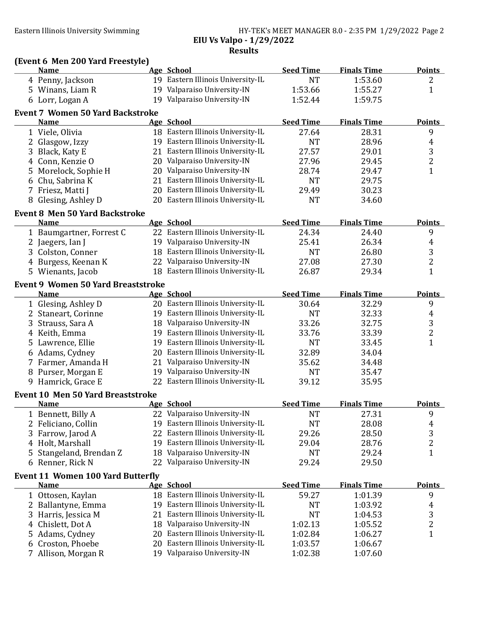#### Eastern Illinois University Swimming **HY-TEK's MEET MANAGER 8.0 - 2:35 PM** 1/29/2022 Page 2 EIU Vs Valpo - 1/29/2022 **Results**

## (Event 6 Men 200 Yard Freestyle)

|    | <b>Name</b>                               | Age School                        | <b>Seed Time</b> | <b>Finals Time</b> | <b>Points</b>    |
|----|-------------------------------------------|-----------------------------------|------------------|--------------------|------------------|
|    | 4 Penny, Jackson                          | 19 Eastern Illinois University-IL | <b>NT</b>        | 1:53.60            | 2                |
|    | 5 Winans, Liam R                          | 19 Valparaiso University-IN       | 1:53.66          | 1:55.27            | $\mathbf{1}$     |
|    | 6 Lorr, Logan A                           | 19 Valparaiso University-IN       | 1:52.44          | 1:59.75            |                  |
|    | <b>Event 7 Women 50 Yard Backstroke</b>   |                                   |                  |                    |                  |
|    | <b>Name</b>                               | <b>Age School</b>                 | <b>Seed Time</b> | <b>Finals Time</b> | <b>Points</b>    |
|    | 1 Viele, Olivia                           | 18 Eastern Illinois University-IL | 27.64            | 28.31              | 9                |
|    | 2 Glasgow, Izzy                           | 19 Eastern Illinois University-IL | <b>NT</b>        | 28.96              | $\overline{4}$   |
|    | 3 Black, Katy E                           | 21 Eastern Illinois University-IL | 27.57            | 29.01              | $\sqrt{3}$       |
|    | 4 Conn, Kenzie O                          | 20 Valparaiso University-IN       | 27.96            | 29.45              | $\boldsymbol{2}$ |
|    | 5 Morelock, Sophie H                      | 20 Valparaiso University-IN       | 28.74            | 29.47              | $\mathbf{1}$     |
| 6  | Chu, Sabrina K                            | 21 Eastern Illinois University-IL | <b>NT</b>        | 29.75              |                  |
|    | 7 Friesz, Matti J                         | 20 Eastern Illinois University-IL | 29.49            | 30.23              |                  |
|    | 8 Glesing, Ashley D                       | 20 Eastern Illinois University-IL | <b>NT</b>        | 34.60              |                  |
|    |                                           |                                   |                  |                    |                  |
|    | <b>Event 8 Men 50 Yard Backstroke</b>     |                                   |                  |                    |                  |
|    | <b>Name</b>                               | Age School                        | <b>Seed Time</b> | <b>Finals Time</b> | <b>Points</b>    |
|    | 1 Baumgartner, Forrest C                  | 22 Eastern Illinois University-IL | 24.34            | 24.40              | 9                |
|    | 2 Jaegers, Ian J                          | 19 Valparaiso University-IN       | 25.41            | 26.34              | $\overline{4}$   |
|    | 3 Colston, Conner                         | 18 Eastern Illinois University-IL | <b>NT</b>        | 26.80              | $\sqrt{3}$       |
|    | 4 Burgess, Keenan K                       | 22 Valparaiso University-IN       | 27.08            | 27.30              | $\boldsymbol{2}$ |
|    | 5 Wienants, Jacob                         | 18 Eastern Illinois University-IL | 26.87            | 29.34              | $\mathbf{1}$     |
|    | <b>Event 9 Women 50 Yard Breaststroke</b> |                                   |                  |                    |                  |
|    | <b>Name</b>                               | <b>Age School</b>                 | <b>Seed Time</b> | <b>Finals Time</b> | <b>Points</b>    |
|    | 1 Glesing, Ashley D                       | 20 Eastern Illinois University-IL | 30.64            | 32.29              | 9                |
|    | 2 Staneart, Corinne                       | 19 Eastern Illinois University-IL | <b>NT</b>        | 32.33              | $\overline{4}$   |
|    | 3 Strauss, Sara A                         | 18 Valparaiso University-IN       | 33.26            | 32.75              | $\sqrt{3}$       |
|    | 4 Keith, Emma                             | 19 Eastern Illinois University-IL | 33.76            | 33.39              | $\overline{c}$   |
|    | 5 Lawrence, Ellie                         | 19 Eastern Illinois University-IL | <b>NT</b>        | 33.45              | $\mathbf{1}$     |
|    | 6 Adams, Cydney                           | 20 Eastern Illinois University-IL | 32.89            | 34.04              |                  |
|    | 7 Farmer, Amanda H                        | 21 Valparaiso University-IN       | 35.62            | 34.48              |                  |
|    | 8 Purser, Morgan E                        | 19 Valparaiso University-IN       | <b>NT</b>        | 35.47              |                  |
|    | 9 Hamrick, Grace E                        | 22 Eastern Illinois University-IL | 39.12            | 35.95              |                  |
|    | <b>Event 10 Men 50 Yard Breaststroke</b>  |                                   |                  |                    |                  |
|    | <b>Name</b>                               | Age School                        | <b>Seed Time</b> | <b>Finals Time</b> | <b>Points</b>    |
|    | 1 Bennett, Billy A                        | 22 Valparaiso University-IN       | <b>NT</b>        | 27.31              | 9                |
|    | 2 Feliciano, Collin                       | 19 Eastern Illinois University-IL | $\rm{NT}$        | 28.08              | $\overline{4}$   |
|    | 3 Farrow, Jarod A                         | 22 Eastern Illinois University-IL | 29.26            | 28.50              | 3                |
|    | 4 Holt, Marshall                          | 19 Eastern Illinois University-IL | 29.04            | 28.76              | 2                |
| 5. | Stangeland, Brendan Z                     | 18 Valparaiso University-IN       | <b>NT</b>        | 29.24              | 1                |
|    | 6 Renner, Rick N                          | 22 Valparaiso University-IN       | 29.24            | 29.50              |                  |
|    |                                           |                                   |                  |                    |                  |
|    | <b>Event 11 Women 100 Yard Butterfly</b>  |                                   |                  |                    |                  |
|    | <b>Name</b>                               | Age School                        | <b>Seed Time</b> | <b>Finals Time</b> | <b>Points</b>    |
|    | 1 Ottosen, Kaylan                         | 18 Eastern Illinois University-IL | 59.27            | 1:01.39            | 9                |
|    | 2 Ballantyne, Emma                        | 19 Eastern Illinois University-IL | <b>NT</b>        | 1:03.92            | 4                |
| 3. | Harris, Jessica M                         | 21 Eastern Illinois University-IL | <b>NT</b>        | 1:04.53            | 3                |
|    | 4 Chislett, Dot A                         | 18 Valparaiso University-IN       | 1:02.13          | 1:05.52            | 2                |
| 5. | Adams, Cydney                             | 20 Eastern Illinois University-IL | 1:02.84          | 1:06.27            | $\mathbf{1}$     |
| 6  | Croston, Phoebe                           | 20 Eastern Illinois University-IL | 1:03.57          | 1:06.67            |                  |
|    | Allison, Morgan R                         | 19 Valparaiso University-IN       | 1:02.38          | 1:07.60            |                  |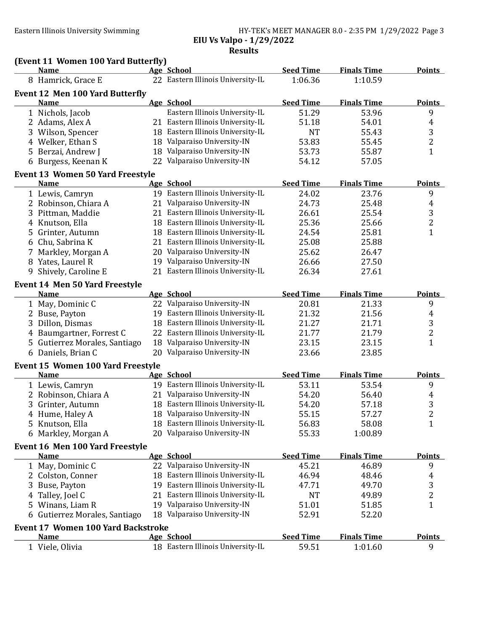### Eastern Illinois University Swimming HY-TEK's MEET MANAGER 8.0 - 2:35 PM 1/29/2022 Page 3 EIU Vs Valpo - 1/29/2022

Results

|  |  |  | (Event 11 Women 100 Yard Butterfly) |
|--|--|--|-------------------------------------|
|--|--|--|-------------------------------------|

|    | (Event II women Too rard Butterny)<br><b>Name</b> |    | Age School                        | <b>Seed Time</b> | <b>Finals Time</b> | <b>Points</b>           |
|----|---------------------------------------------------|----|-----------------------------------|------------------|--------------------|-------------------------|
|    | 8 Hamrick, Grace E                                |    | 22 Eastern Illinois University-IL | 1:06.36          | 1:10.59            |                         |
|    | <b>Event 12 Men 100 Yard Butterfly</b>            |    |                                   |                  |                    |                         |
|    | <b>Name</b>                                       |    | Age School                        | <b>Seed Time</b> | <b>Finals Time</b> | <b>Points</b>           |
|    | 1 Nichols, Jacob                                  |    | Eastern Illinois University-IL    | 51.29            | 53.96              | 9                       |
|    | 2 Adams, Alex A                                   |    | 21 Eastern Illinois University-IL | 51.18            | 54.01              | 4                       |
|    | 3 Wilson, Spencer                                 |    | 18 Eastern Illinois University-IL | <b>NT</b>        | 55.43              | 3                       |
|    | 4 Welker, Ethan S                                 |    | 18 Valparaiso University-IN       | 53.83            | 55.45              | $\overline{c}$          |
|    | 5 Berzai, Andrew J                                |    | 18 Valparaiso University-IN       | 53.73            | 55.87              | $\mathbf{1}$            |
|    | 6 Burgess, Keenan K                               |    | 22 Valparaiso University-IN       | 54.12            | 57.05              |                         |
|    | <b>Event 13 Women 50 Yard Freestyle</b>           |    |                                   |                  |                    |                         |
|    | <b>Name</b>                                       |    | Age School                        | <b>Seed Time</b> | <b>Finals Time</b> | <b>Points</b>           |
|    | 1 Lewis, Camryn                                   |    | 19 Eastern Illinois University-IL | 24.02            | 23.76              | 9                       |
|    | 2 Robinson, Chiara A                              |    | 21 Valparaiso University-IN       | 24.73            | 25.48              | $\overline{4}$          |
|    | 3 Pittman, Maddie                                 |    | 21 Eastern Illinois University-IL | 26.61            | 25.54              | 3                       |
|    | 4 Knutson, Ella                                   |    | 18 Eastern Illinois University-IL | 25.36            | 25.66              | $\overline{c}$          |
|    | 5 Grinter, Autumn                                 |    | 18 Eastern Illinois University-IL | 24.54            | 25.81              | $\mathbf{1}$            |
|    | 6 Chu, Sabrina K                                  |    | 21 Eastern Illinois University-IL | 25.08            | 25.88              |                         |
|    | 7 Markley, Morgan A                               |    | 20 Valparaiso University-IN       | 25.62            | 26.47              |                         |
| 8  | Yates, Laurel R                                   |    | 19 Valparaiso University-IN       | 26.66            | 27.50              |                         |
| 9  | Shively, Caroline E                               |    | 21 Eastern Illinois University-IL | 26.34            | 27.61              |                         |
|    | <b>Event 14 Men 50 Yard Freestyle</b>             |    |                                   |                  |                    |                         |
|    | <b>Name</b>                                       |    | Age School                        | <b>Seed Time</b> | <b>Finals Time</b> | <b>Points</b>           |
|    | 1 May, Dominic C                                  |    | 22 Valparaiso University-IN       | 20.81            | 21.33              | 9                       |
|    | 2 Buse, Payton                                    |    | 19 Eastern Illinois University-IL | 21.32            | 21.56              | 4                       |
|    | 3 Dillon, Dismas                                  | 18 | Eastern Illinois University-IL    | 21.27            | 21.71              | 3                       |
|    | 4 Baumgartner, Forrest C                          |    | 22 Eastern Illinois University-IL | 21.77            | 21.79              | $\overline{c}$          |
|    | 5 Gutierrez Morales, Santiago                     |    | 18 Valparaiso University-IN       | 23.15            | 23.15              | $\mathbf{1}$            |
|    | 6 Daniels, Brian C                                |    | 20 Valparaiso University-IN       | 23.66            | 23.85              |                         |
|    | <b>Event 15 Women 100 Yard Freestyle</b>          |    |                                   |                  |                    |                         |
|    | <b>Name</b>                                       |    | <b>Age School</b>                 | <b>Seed Time</b> | <b>Finals Time</b> | <b>Points</b>           |
|    | 1 Lewis, Camryn                                   |    | 19 Eastern Illinois University-IL | 53.11            | 53.54              | 9                       |
|    | 2 Robinson, Chiara A                              |    | 21 Valparaiso University-IN       | 54.20            | 56.40              | 4                       |
|    | 3 Grinter, Autumn                                 |    | 18 Eastern Illinois University-IL | 54.20            | 57.18              | 3                       |
|    | 4 Hume, Haley A                                   |    | 18 Valparaiso University-IN       | 55.15            | 57.27              | $\overline{2}$          |
|    | 5 Knutson, Ella                                   |    | 18 Eastern Illinois University-IL | 56.83            | 58.08              | $\mathbf{1}$            |
|    | 6 Markley, Morgan A                               |    | 20 Valparaiso University-IN       | 55.33            | 1:00.89            |                         |
|    | <b>Event 16 Men 100 Yard Freestyle</b>            |    |                                   |                  |                    |                         |
|    | <b>Name</b>                                       |    | <b>Age School</b>                 | <b>Seed Time</b> | <b>Finals Time</b> | <b>Points</b>           |
|    | 1 May, Dominic C                                  |    | 22 Valparaiso University-IN       | 45.21            | 46.89              | 9                       |
|    | 2 Colston, Conner                                 |    | 18 Eastern Illinois University-IL | 46.94            | 48.46              | 4                       |
| 3. | Buse, Payton                                      |    | 19 Eastern Illinois University-IL | 47.71            | 49.70              | 3                       |
| 4  | Talley, Joel C                                    |    | 21 Eastern Illinois University-IL | <b>NT</b>        | 49.89              | $\overline{\mathbf{c}}$ |
| 5. | Winans, Liam R                                    |    | 19 Valparaiso University-IN       | 51.01            | 51.85              | $\mathbf{1}$            |
|    | Gutierrez Morales, Santiago                       |    | 18 Valparaiso University-IN       | 52.91            | 52.20              |                         |
|    | <b>Event 17 Women 100 Yard Backstroke</b>         |    |                                   |                  |                    |                         |
|    | <b>Name</b>                                       |    | Age School                        | <b>Seed Time</b> | <b>Finals Time</b> | <b>Points</b>           |
|    | 1 Viele, Olivia                                   |    | 18 Eastern Illinois University-IL | 59.51            | 1:01.60            | 9                       |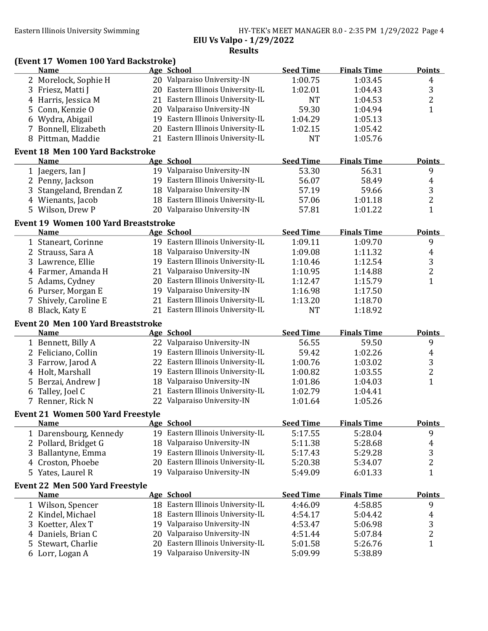| HY-TEK's MEET MANAGER 8.0 - 2:35 PM 1/29/2022 Page 4 |  |  |
|------------------------------------------------------|--|--|
| EIU Vs Valpo - 1/29/2022                             |  |  |
|                                                      |  |  |

Results

|   | (Event 17 Women 100 Yard Backstroke)        |    |                                   |                  |                    |                |
|---|---------------------------------------------|----|-----------------------------------|------------------|--------------------|----------------|
|   | <b>Name</b>                                 |    | Age School                        | <b>Seed Time</b> | <b>Finals Time</b> | <b>Points</b>  |
|   | 2 Morelock, Sophie H                        |    | 20 Valparaiso University-IN       | 1:00.75          | 1:03.45            | $\overline{4}$ |
| 3 | Friesz, Matti J                             |    | 20 Eastern Illinois University-IL | 1:02.01          | 1:04.43            | 3              |
| 4 | Harris, Jessica M                           |    | 21 Eastern Illinois University-IL | <b>NT</b>        | 1:04.53            | $\overline{c}$ |
| 5 | Conn, Kenzie O                              |    | 20 Valparaiso University-IN       | 59.30            | 1:04.94            | $\mathbf{1}$   |
| 6 | Wydra, Abigail                              |    | 19 Eastern Illinois University-IL | 1:04.29          | 1:05.13            |                |
|   | 7 Bonnell, Elizabeth                        |    | 20 Eastern Illinois University-IL | 1:02.15          | 1:05.42            |                |
|   | 8 Pittman, Maddie                           |    | 21 Eastern Illinois University-IL | <b>NT</b>        | 1:05.76            |                |
|   | <b>Event 18 Men 100 Yard Backstroke</b>     |    |                                   |                  |                    |                |
|   | <b>Name</b>                                 |    | Age School                        | <b>Seed Time</b> | <b>Finals Time</b> | <b>Points</b>  |
|   | 1 Jaegers, Ian J                            |    | 19 Valparaiso University-IN       | 53.30            | 56.31              | 9              |
|   | 2 Penny, Jackson                            |    | 19 Eastern Illinois University-IL | 56.07            | 58.49              | 4              |
| 3 | Stangeland, Brendan Z                       |    | 18 Valparaiso University-IN       | 57.19            | 59.66              | 3              |
|   | 4 Wienants, Jacob                           |    | 18 Eastern Illinois University-IL | 57.06            | 1:01.18            | $\overline{c}$ |
|   | 5 Wilson, Drew P                            |    | 20 Valparaiso University-IN       | 57.81            | 1:01.22            | $\mathbf{1}$   |
|   | <b>Event 19 Women 100 Yard Breaststroke</b> |    |                                   |                  |                    |                |
|   | <b>Name</b>                                 |    | Age School                        | <b>Seed Time</b> | <b>Finals Time</b> | <b>Points</b>  |
|   | 1 Staneart, Corinne                         |    | 19 Eastern Illinois University-IL | 1:09.11          | 1:09.70            | 9              |
|   | 2 Strauss, Sara A                           |    | 18 Valparaiso University-IN       | 1:09.08          | 1:11.32            | 4              |
|   | 3 Lawrence, Ellie                           |    | 19 Eastern Illinois University-IL | 1:10.46          | 1:12.54            | $\frac{3}{2}$  |
|   | 4 Farmer, Amanda H                          |    | 21 Valparaiso University-IN       | 1:10.95          | 1:14.88            |                |
| 5 | Adams, Cydney                               |    | 20 Eastern Illinois University-IL | 1:12.47          | 1:15.79            | $\overline{1}$ |
|   | 6 Purser, Morgan E                          |    | 19 Valparaiso University-IN       | 1:16.98          | 1:17.50            |                |
| 7 | Shively, Caroline E                         |    | 21 Eastern Illinois University-IL | 1:13.20          | 1:18.70            |                |
|   | 8 Black, Katy E                             |    | 21 Eastern Illinois University-IL | <b>NT</b>        | 1:18.92            |                |
|   | <b>Event 20 Men 100 Yard Breaststroke</b>   |    |                                   |                  |                    |                |
|   | <b>Name</b>                                 |    | Age School                        | <b>Seed Time</b> | <b>Finals Time</b> | <b>Points</b>  |
|   | 1 Bennett, Billy A                          |    | 22 Valparaiso University-IN       | 56.55            | 59.50              | 9              |
|   | 2 Feliciano, Collin                         |    | 19 Eastern Illinois University-IL | 59.42            | 1:02.26            | 4              |
|   | 3 Farrow, Jarod A                           |    | 22 Eastern Illinois University-IL | 1:00.76          | 1:03.02            | 3              |
|   | 4 Holt, Marshall                            |    | 19 Eastern Illinois University-IL | 1:00.82          | 1:03.55            | $\overline{c}$ |
|   | Berzai, Andrew J                            |    | 18 Valparaiso University-IN       | 1:01.86          | 1:04.03            | $\mathbf{1}$   |
| 6 | Talley, Joel C                              |    | 21 Eastern Illinois University-IL | 1:02.79          | 1:04.41            |                |
|   | 7 Renner, Rick N                            |    | 22 Valparaiso University-IN       | 1:01.64          | 1:05.26            |                |
|   | <b>Event 21 Women 500 Yard Freestyle</b>    |    |                                   |                  |                    |                |
|   | <b>Name</b>                                 |    | Age School                        | <b>Seed Time</b> | <b>Finals Time</b> | <b>Points</b>  |
|   | 1 Darensbourg, Kennedy                      |    | 19 Eastern Illinois University-IL | 5:17.55          | 5:28.04            | 9              |
| 2 | Pollard, Bridget G                          |    | 18 Valparaiso University-IN       | 5:11.38          | 5:28.68            | 4              |
| 3 | Ballantyne, Emma                            | 19 | Eastern Illinois University-IL    | 5:17.43          | 5:29.28            | 3              |
| 4 | Croston, Phoebe                             | 20 | Eastern Illinois University-IL    | 5:20.38          | 5:34.07            | $\overline{c}$ |
|   | 5 Yates, Laurel R                           |    | 19 Valparaiso University-IN       | 5:49.09          | 6:01.33            | $\mathbf{1}$   |
|   | <b>Event 22 Men 500 Yard Freestyle</b>      |    |                                   |                  |                    |                |
|   | <b>Name</b>                                 |    | Age School                        | <b>Seed Time</b> | <b>Finals Time</b> | <b>Points</b>  |
|   | 1 Wilson, Spencer                           |    | 18 Eastern Illinois University-IL | 4:46.09          | 4:58.85            | 9              |
| 2 | Kindel, Michael                             | 18 | Eastern Illinois University-IL    | 4:54.17          | 5:04.42            | 4              |
| 3 | Koetter, Alex T                             |    | 19 Valparaiso University-IN       | 4:53.47          | 5:06.98            |                |
| 4 | Daniels, Brian C                            | 20 | Valparaiso University-IN          | 4:51.44          | 5:07.84            | $\frac{3}{2}$  |
| 5 | Stewart, Charlie                            | 20 | Eastern Illinois University-IL    | 5:01.58          | 5:26.76            | $\mathbf{1}$   |
|   | 6 Lorr, Logan A                             |    | 19 Valparaiso University-IN       | 5:09.99          | 5:38.89            |                |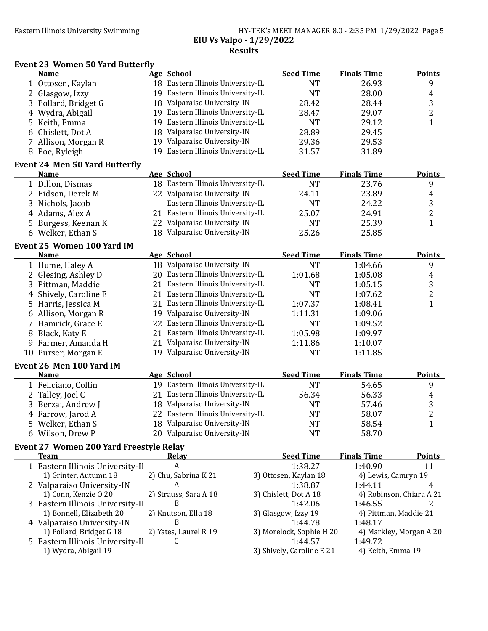#### Eastern Illinois University Swimming HY-TEK's MEET MANAGER 8.0 - 2:35 PM 1/29/2022 Page 5 EIU Vs Valpo - 1/29/2022 Results

#### Event 23 Women 50 Yard Butterfly

|              | <b>Name</b>                             | Age School                        | <b>Seed Time</b>          | <b>Finals Time</b>    | <b>Points</b>            |
|--------------|-----------------------------------------|-----------------------------------|---------------------------|-----------------------|--------------------------|
|              | 1 Ottosen, Kaylan                       | 18 Eastern Illinois University-IL | <b>NT</b>                 | 26.93                 | 9                        |
|              | 2 Glasgow, Izzy                         | 19 Eastern Illinois University-IL | <b>NT</b>                 | 28.00                 | 4                        |
| 3            | Pollard, Bridget G                      | 18 Valparaiso University-IN       | 28.42                     | 28.44                 |                          |
|              | 4 Wydra, Abigail                        | 19 Eastern Illinois University-IL | 28.47                     | 29.07                 | $\frac{3}{2}$            |
|              | 5 Keith, Emma                           | 19 Eastern Illinois University-IL | <b>NT</b>                 | 29.12                 | $\mathbf{1}$             |
| 6            | Chislett, Dot A                         | 18 Valparaiso University-IN       | 28.89                     | 29.45                 |                          |
|              | 7 Allison, Morgan R                     | 19 Valparaiso University-IN       | 29.36                     | 29.53                 |                          |
|              | 8 Poe, Ryleigh                          | 19 Eastern Illinois University-IL | 31.57                     | 31.89                 |                          |
|              |                                         |                                   |                           |                       |                          |
|              | <b>Event 24 Men 50 Yard Butterfly</b>   |                                   |                           |                       |                          |
|              | Name                                    | Age School                        | <b>Seed Time</b>          | <b>Finals Time</b>    | <b>Points</b>            |
|              | 1 Dillon, Dismas                        | 18 Eastern Illinois University-IL | <b>NT</b>                 | 23.76                 | 9                        |
|              | 2 Eidson, Derek M                       | 22 Valparaiso University-IN       | 24.11                     | 23.89                 | 4                        |
|              | 3 Nichols, Jacob                        | Eastern Illinois University-IL    | <b>NT</b>                 | 24.22                 | 3                        |
|              | 4 Adams, Alex A                         | 21 Eastern Illinois University-IL | 25.07                     | 24.91                 | $\overline{c}$           |
|              | Burgess, Keenan K                       | 22 Valparaiso University-IN       | <b>NT</b>                 | 25.39                 | $\mathbf{1}$             |
|              | 6 Welker, Ethan S                       | 18 Valparaiso University-IN       | 25.26                     | 25.85                 |                          |
|              | <b>Event 25 Women 100 Yard IM</b>       |                                   |                           |                       |                          |
|              | <b>Name</b>                             | Age School                        | <b>Seed Time</b>          | <b>Finals Time</b>    | <b>Points</b>            |
|              | 1 Hume, Haley A                         | 18 Valparaiso University-IN       | <b>NT</b>                 | 1:04.66               | 9                        |
| $\mathbf{2}$ | Glesing, Ashley D                       | 20 Eastern Illinois University-IL | 1:01.68                   | 1:05.08               | 4                        |
|              | 3 Pittman, Maddie                       | 21 Eastern Illinois University-IL | <b>NT</b>                 | 1:05.15               |                          |
|              | 4 Shively, Caroline E                   | 21 Eastern Illinois University-IL | <b>NT</b>                 | 1:07.62               | $\frac{3}{2}$            |
|              | 5 Harris, Jessica M                     | 21 Eastern Illinois University-IL | 1:07.37                   | 1:08.41               | $\mathbf{1}$             |
|              | 6 Allison, Morgan R                     | 19 Valparaiso University-IN       | 1:11.31                   | 1:09.06               |                          |
| 7.           | Hamrick, Grace E                        | 22 Eastern Illinois University-IL | <b>NT</b>                 | 1:09.52               |                          |
|              | 8 Black, Katy E                         | 21 Eastern Illinois University-IL | 1:05.98                   | 1:09.97               |                          |
| 9            | Farmer, Amanda H                        | 21 Valparaiso University-IN       | 1:11.86                   | 1:10.07               |                          |
|              | 10 Purser, Morgan E                     | 19 Valparaiso University-IN       | <b>NT</b>                 | 1:11.85               |                          |
|              |                                         |                                   |                           |                       |                          |
|              | Event 26 Men 100 Yard IM                |                                   |                           |                       |                          |
|              | <b>Name</b>                             | Age School                        | <b>Seed Time</b>          | <b>Finals Time</b>    | <b>Points</b>            |
|              | 1 Feliciano, Collin                     | 19 Eastern Illinois University-IL | <b>NT</b>                 | 54.65                 | 9                        |
| 2            | Talley, Joel C                          | 21 Eastern Illinois University-IL | 56.34                     | 56.33                 | 4                        |
|              | 3 Berzai, Andrew J                      | 18 Valparaiso University-IN       | <b>NT</b>                 | 57.46                 | $\frac{3}{2}$            |
|              | 4 Farrow, Jarod A                       | 22 Eastern Illinois University-IL | <b>NT</b>                 | 58.07                 |                          |
|              | 5 Welker, Ethan S                       | 18 Valparaiso University-IN       | <b>NT</b>                 | 58.54                 | $\mathbf{1}$             |
|              | 6 Wilson, Drew P                        | 20 Valparaiso University-IN       | <b>NT</b>                 | 58.70                 |                          |
|              | Event 27 Women 200 Yard Freestyle Relay |                                   |                           |                       |                          |
|              | <b>Team</b>                             | <b>Relay</b>                      | <b>Seed Time</b>          | <b>Finals Time</b>    | <b>Points</b>            |
|              | 1 Eastern Illinois University-II        | A                                 | 1:38.27                   | 1:40.90               | 11                       |
|              | 1) Grinter, Autumn 18                   | 2) Chu, Sabrina K 21              | 3) Ottosen, Kaylan 18     | 4) Lewis, Camryn 19   |                          |
|              | 2 Valparaiso University-IN              | A                                 | 1:38.87                   | 1:44.11               | 4                        |
|              | 1) Conn, Kenzie O 20                    | 2) Strauss, Sara A 18             | 3) Chislett, Dot A 18     |                       | 4) Robinson, Chiara A 21 |
|              | 3 Eastern Illinois University-II        | B                                 | 1:42.06                   | 1:46.55               | 2                        |
|              | 1) Bonnell, Elizabeth 20                | 2) Knutson, Ella 18               | 3) Glasgow, Izzy 19       | 4) Pittman, Maddie 21 |                          |
|              | 4 Valparaiso University-IN              | B                                 | 1:44.78                   | 1:48.17               |                          |
|              | 1) Pollard, Bridget G 18                | 2) Yates, Laurel R 19             | 3) Morelock, Sophie H 20  |                       | 4) Markley, Morgan A 20  |
|              | 5 Eastern Illinois University-II        | C                                 | 1:44.57                   | 1:49.72               |                          |
|              | 1) Wydra, Abigail 19                    |                                   | 3) Shively, Caroline E 21 | 4) Keith, Emma 19     |                          |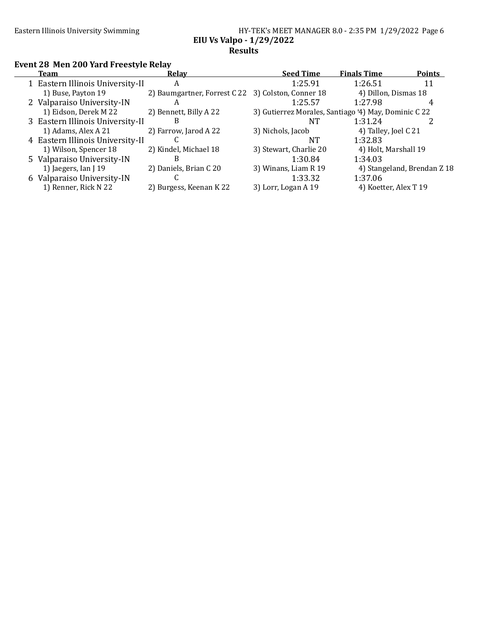| HY-TEK's MEET MANAGER 8.0 - 2:35 PM 1/29/2022 Page 6 |  |  |  |
|------------------------------------------------------|--|--|--|
| EIU Vs Valpo - 1/29/2022                             |  |  |  |
| <b>Results</b>                                       |  |  |  |

# Event 28 Men 200 Yard Freestyle Relay

| <b>Team</b>                      | Relay                                              | <b>Seed Time</b>                                     | <b>Finals Time</b>    | <b>Points</b>               |
|----------------------------------|----------------------------------------------------|------------------------------------------------------|-----------------------|-----------------------------|
| 1 Eastern Illinois University-II | A                                                  | 1:25.91                                              | 1:26.51               | 11                          |
| 1) Buse, Payton 19               | 2) Baumgartner, Forrest C 22 3) Colston, Conner 18 |                                                      | 4) Dillon, Dismas 18  |                             |
| 2 Valparaiso University-IN       | A                                                  | 1:25.57                                              | 1:27.98               |                             |
| 1) Eidson, Derek M 22            | 2) Bennett, Billy A 22                             | 3) Gutierrez Morales, Santiago '4) May, Dominic C 22 |                       |                             |
| 3 Eastern Illinois University-II | В                                                  | ΝT                                                   | 1:31.24               |                             |
| 1) Adams, Alex A 21              | 2) Farrow, Jarod A 22                              | 3) Nichols, Jacob                                    | 4) Talley, Joel C 21  |                             |
| 4 Eastern Illinois University-II |                                                    | NT                                                   | 1:32.83               |                             |
| 1) Wilson, Spencer 18            | 2) Kindel, Michael 18                              | 3) Stewart, Charlie 20                               | 4) Holt, Marshall 19  |                             |
| 5 Valparaiso University-IN       | B                                                  | 1:30.84                                              | 1:34.03               |                             |
| 1) Jaegers, Ian $19$             | 2) Daniels, Brian C 20                             | 3) Winans, Liam R 19                                 |                       | 4) Stangeland, Brendan Z 18 |
| 6 Valparaiso University-IN       |                                                    | 1:33.32                                              | 1:37.06               |                             |
| 1) Renner, Rick N 22             | 2) Burgess, Keenan K 22                            | 3) Lorr, Logan A 19                                  | 4) Koetter, Alex T 19 |                             |